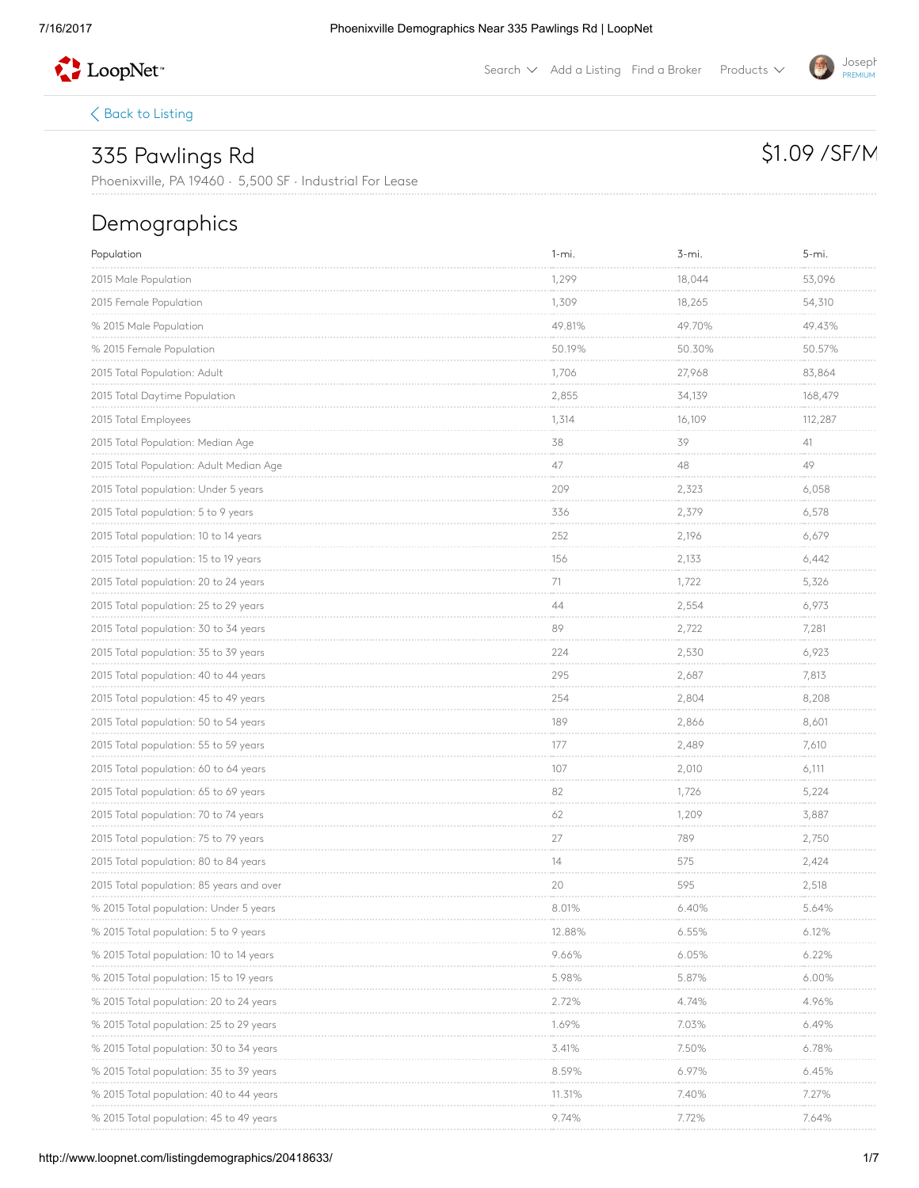

Search  $\vee$  Add a [Listing](http://www.loopnet.com/xNet/MainSite/Listing/Manage/?linkcode=31818) Find a [Broker](http://www.loopnet.com/xNet/MainSite/User/Directory/Search/SearchCriteria.aspx?linkcode=31819) Products  $\vee$ 

 $\langle$  Back to [Listing](http://www.loopnet.com/Listing/20418633/335-Pawlings-Rd-Phoenixville-PA/)

## 335 Pawlings Rd

# \$1.09 / SF/M

**Joseph** PREMIUM

Phoenixville, PA 19460 · 5,500 SF · Industrial For Lease

## Demographics

| Population                               | $1 - mi.$                  | 3-mi.                       | 5-mi.                       |
|------------------------------------------|----------------------------|-----------------------------|-----------------------------|
| 2015 Male Population                     | 1,299<br>--------          | 18,044                      | 53,096                      |
| 2015 Female Population                   | 1,309                      | 18,265<br><b>CONTRACTOR</b> | 54,310<br><b>CONTRACTOR</b> |
| % 2015 Male Population                   | 49.81%                     | 49.70%                      | 49.43%                      |
| % 2015 Female Population                 | 50.19%                     | 50.30%<br><b>CONTRACTOR</b> | 50.57%<br><b>CONTRACTOR</b> |
| 2015 Total Population: Adult             | 1,706                      | 27,968                      | 83,864                      |
| 2015 Total Daytime Population            | 2,855                      | 34,139                      | 168,479                     |
| 2015 Total Employees                     | 1,314                      | 16,109                      | 112,287                     |
| 2015 Total Population: Median Age        | 38                         | 39<br>contractor and        | 41<br><b>Contractor</b>     |
|                                          | 47                         | 48                          | 49                          |
| 2015 Total population: Under 5 years     | 209                        | 2,323                       | 6,058                       |
| 2015 Total population: 5 to 9 years      | 336                        | 2,379                       | 6,578                       |
| 2015 Total population: 10 to 14 years    | 252                        | 2,196                       | 6,679                       |
| 2015 Total population: 15 to 19 years    | 156                        | 2,133                       | 6,442                       |
| 2015 Total population: 20 to 24 years    | 71<br><b>COLLA</b>         | 1,722<br>an corre           | 5,326<br><b>Service</b>     |
| 2015 Total population: 25 to 29 years    | 44                         | 2,554                       | 6,973                       |
| 2015 Total population: 30 to 34 years    | 89                         | 2,722                       | 7,281                       |
| 2015 Total population: 35 to 39 years    | 224                        | 2,530                       | 6,923                       |
| 2015 Total population: 40 to 44 years    | 295                        | 2,687                       | 7,813                       |
| 2015 Total population: 45 to 49 years    | 254                        | 2,804<br><b>Contractor</b>  | 8,208<br>an an an a         |
| 2015 Total population: 50 to 54 years    | 189                        | 2,866                       | 8,601                       |
| 2015 Total population: 55 to 59 years    | 177                        | 2,489                       | 7,610<br><b>CONTRACTOR</b>  |
| 2015 Total population: 60 to 64 years    | 107                        | 2,010                       | 6,111                       |
| 2015 Total population: 65 to 69 years    | 82                         | 1,726                       | 5,224                       |
| 2015 Total population: 70 to 74 years    | 62                         | 1,209                       | 3,887                       |
| 2015 Total population: 75 to 79 years    | 27<br><b>Color</b>         | 789                         | 2,750                       |
| 2015 Total population: 80 to 84 years    | 14                         | 575                         | 2,424<br><b>CONTRACTOR</b>  |
| 2015 Total population: 85 years and over | 20                         | 595                         | 2,518                       |
| % 2015 Total population: Under 5 years   | 8.01%                      | 6.40%                       | 5.64%                       |
| % 2015 Total population: 5 to 9 years    | 12.88%                     | 6.55%                       | 6.12%                       |
| % 2015 Total population: 10 to 14 years  | 9.66%<br><b>Contractor</b> | 6.05%                       | 6.22%                       |
| % 2015 Total population: 15 to 19 years  | 5.98%                      | 5.87%                       | $6.00\%$                    |
| % 2015 Iotal population: 20 to 24 years  | 2.72%                      | 4.74%                       | 4.96%                       |
| % 2015 Total population: 25 to 29 years  | 1.69%                      | 7.03%                       | 6.49%                       |
| % 2015 Total population: 30 to 34 years  | 3.41%                      | 7.50%                       | 6.78%                       |
| % 2015 Total population: 35 to 39 years  | 8.59%                      | 6.97%                       | 6.45%                       |
| % 2015 lotal population: 40 to 44 years  | 11.31%                     | 7.40%                       | 7.27%                       |
| % 2015 Total population: 45 to 49 years  | 9.74%                      | 7.72%                       | 7.64%                       |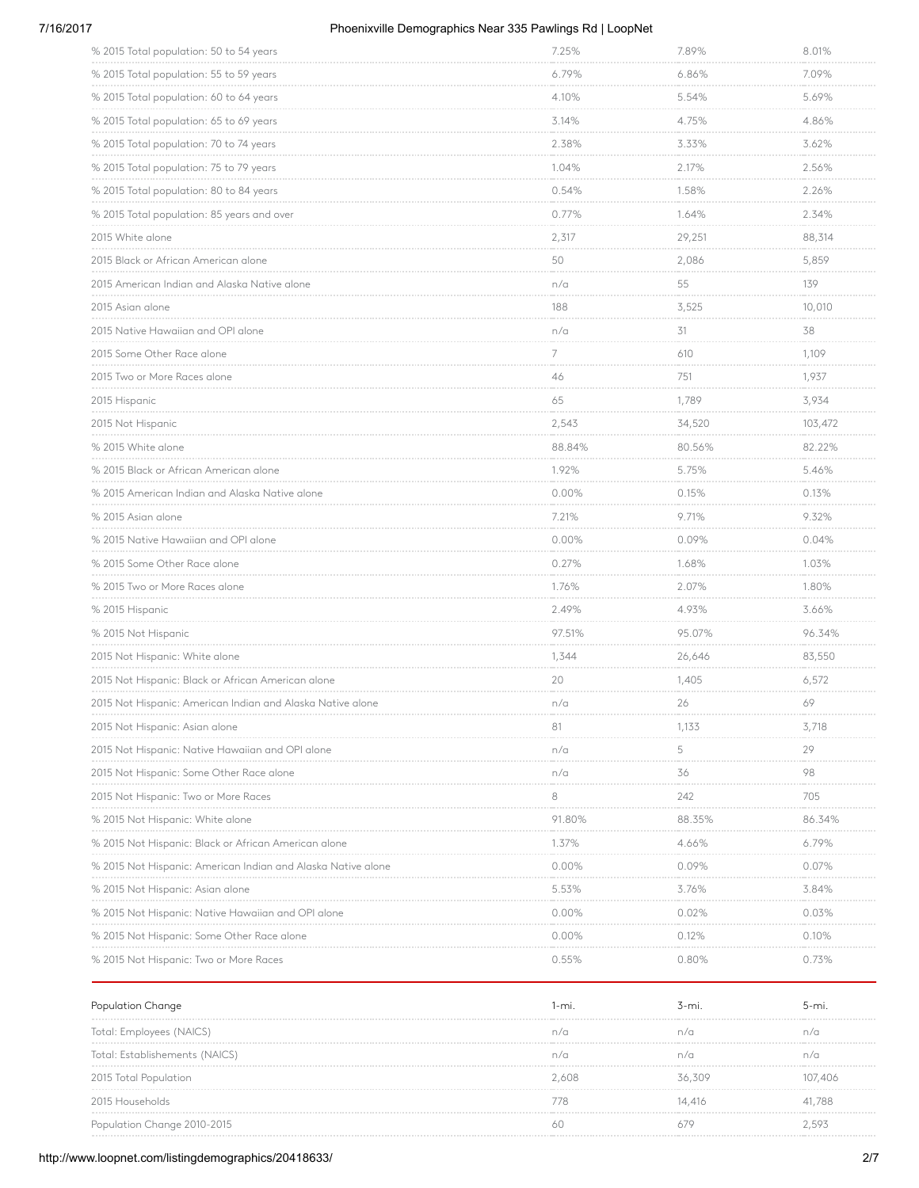### 7/16/2017 Phoenixville Demographics Near 335 Pawlings Rd | LoopNet

| % 2015 Total population: 50 to 54 years                      | 7.25%                          | 7.89%                       | 8.01%                              |
|--------------------------------------------------------------|--------------------------------|-----------------------------|------------------------------------|
| % 2015 Total population: 55 to 59 years                      | 6.79%                          | 6.86%                       | 7.09%                              |
| % 2015 Total population: 60 to 64 years                      | .<br>4.10%<br>.                | 5.54%                       | 5.69%                              |
| % 2015 Total population: 65 to 69 years                      | 3.14%                          | 4.75%                       | 4.86%                              |
| % 2015 Total population: 70 to 74 years                      | 2.38%<br><b>CONTRACTOR</b>     | 3.33%<br><b>Contractor</b>  | 3.62%<br>an an an an a             |
| % 2015 Total population: 75 to 79 years                      | 1.04%                          | 2.17%                       | 2.56%                              |
| % 2015 Total population: 80 to 84 years                      | 0.54%                          | 1.58%                       | 2.26%                              |
| % 2015 Total population: 85 years and over                   | 0.77%<br><b>Service Common</b> | 1.64%                       | 2.34%                              |
| 2015 White alone                                             | 2,317                          | 29,251                      | 88,314                             |
| 2015 Black or African American alone                         | 50                             | 2,086<br>an an an an        | 5,859                              |
| 2015 American Indian and Alaska Native alone                 | n/a                            | 55                          | 139                                |
| 2015 Asian alone                                             | 188<br>----------              | 3,525<br>an an an an        | 10,010<br><b>Contract Contract</b> |
| 2015 Native Hawaiian and OPI alone                           | n/a                            | 31<br><b>Contractor</b>     | 38<br><b>Contractor</b>            |
| 2015 Some Other Race alone                                   | 7                              | 610                         | 1,109                              |
| 2015 Two or More Races alone                                 | 46                             | 751<br><b>Contractor</b>    | 1,937                              |
| 2015 Hispanic                                                | 65                             | 1,789                       | 3,934                              |
| 2015 Not Hispanic                                            | 2,543                          | 34,520                      | 103,472                            |
| % 2015 White alone                                           | 88.84%                         | 80.56%                      | 82.22%                             |
| % 2015 Black or African American alone                       | 1.92%                          | 5.75%                       | 5.46%                              |
| % 2015 American Indian and Alaska Native alone               | 0.00%<br><b>Contractor</b>     | 0.15%<br><b>Contractor</b>  | 0.13%<br><b>CONTRACTOR</b>         |
| % 2015 Asian alone                                           | 7.21%                          | 9.71%                       | 9.32%                              |
| % 2015 Native Hawaiian and OPI alone                         | 0.00%<br><b>Contractor</b>     | 0.09%<br><b>Contractor</b>  | 0.04%<br><b>Contractor</b>         |
| % 2015 Some Other Race alone                                 | 0.27%                          | 1.68%                       | 1.03%                              |
| % 2015 Two or More Races alone                               | 1.76%                          | 2.07%                       | 1.80%                              |
| % 2015 Hispanic                                              | 2.49%                          | 4.93%                       | 3.66%                              |
| % 2015 Not Hispanic                                          | 97.51%                         | 95.07%                      | 96.34%                             |
| 2015 Not Hispanic: White alone                               | 1,344                          | 26,646<br><b>CONTRACTOR</b> | 83,550                             |
| 2015 Not Hispanic: Black or African American alone           | 20                             | 1,405                       | 6,572                              |
| 2015 Not Hispanic: American Indian and Alaska Native alone   | n/a                            | 26                          | 69                                 |
| 2015 Not Hispanic: Asian alone                               | 81                             | 1,133                       | 3,718                              |
| 2015 Not Hispanic: Native Hawaiian and OPI alone             | n/a                            | 5                           | 29                                 |
| 2015 Not Hispanic: Some Other Race alone                     | n/a                            | 36                          | 98                                 |
| 2015 Not Hispanic: Two or More Races                         | 8                              | 242                         | 705                                |
| % 2015 Not Hispanic: White alone                             | 91.80%                         | 88.35%                      | 86.34%<br>.                        |
| % 2015 Not Hispanic: Black or African American alone         | 1.37%                          | 4.66%                       | 6.79%                              |
| % 2015 Not Hispanic: American Indian and Alaska Native alone | 0.00%                          | 0.09%                       | 0.07%                              |
| % 2015 Not Hispanic: Asian alone                             | 5.53%                          | 3.76%                       | 3.84%                              |
| % 2015 Not Hispanic: Native Hawaiian and OPI alone           | $0.00\%$                       | 0.02%                       | 0.03%                              |
| % 2015 Not Hispanic: Some Other Race alone                   | 0.00%                          | 0.12%                       | 0.10%                              |
| % 2015 Not Hispanic: Two or More Races                       | 0.55%                          | 0.80%                       | 0.73%                              |

| Population Change              | l-mi  | s-mi.  | b-mi.   |
|--------------------------------|-------|--------|---------|
| Total: Employees (NAICS)       |       |        | n/a     |
| Total: Establishements (NAICS) | n/a   |        | n/c     |
| 2015 Total Population          | 2.608 | 36.309 | 107,406 |
| 2015 Households                |       | 416    | 41,788  |
| Population Change 2010-2015    | 61    |        |         |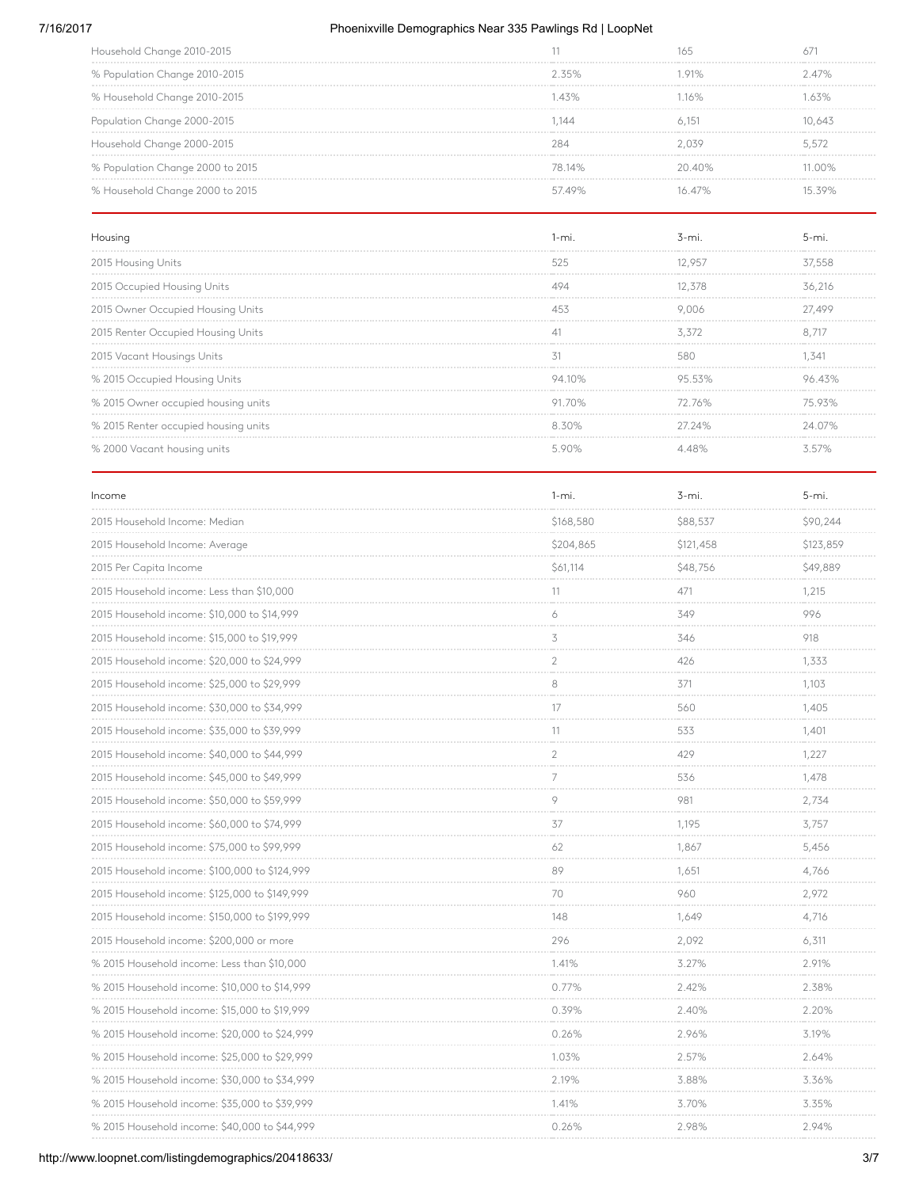### 7/16/2017 Phoenixville Demographics Near 335 Pawlings Rd | LoopNet

| 235%   | 91%    | $2.47\%$ |
|--------|--------|----------|
| 43%    | 16%    | 63%      |
| 144    |        | 10.645   |
|        |        | 5.5/2    |
| 78 14% | 2040%  | 1 በበ%    |
| 5749%  | 16 47% |          |
|        |        |          |

| Housing                              |        | s-mi   |        |
|--------------------------------------|--------|--------|--------|
| 2015 Housing Units                   | 525    |        |        |
| 2015 Occupied Housing Units          |        | 12.378 | 36,216 |
| 2015 Owner Occupied Housing Units    |        | 2.006  |        |
| 2015 Renter Occupied Housing Units   |        | 5.5/2  |        |
| 2015 Vacant Housings Units           |        |        | 34     |
| % 2015 Occupied Housing Units        | 10%    |        |        |
| % 2015 Owner occupied housing units  | 91 70% | 72 76% |        |
| % 2015 Renter occupied housing units | 8.30%  | 27.24% | 24 07% |
| % 2000 Vacant housing units          |        |        |        |

| Income                                        | $1 - mi.$            | $3 - mi.$                  | $5 - mi.$                          |
|-----------------------------------------------|----------------------|----------------------------|------------------------------------|
| 2015 Household Income: Median                 | \$168,580<br>.       | \$88,537<br>.              | \$90,244<br><b>Service Control</b> |
| 2015 Household Income: Average                | \$204,865            | \$121,458                  | \$123,859                          |
| 2015 Per Capita Income                        | \$61,114             | \$48,756                   | \$49,889                           |
| 2015 Household income: Less than \$10,000     | 11                   | 471                        | 1,215                              |
| 2015 Household income: \$10,000 to \$14,999   | 6                    | 349                        | 996                                |
| 2015 Household income: \$15,000 to \$19,999   | 3                    | 346                        | 918                                |
| 2015 Household income: \$20,000 to \$24,999   | $\overline{2}$       | 426                        | 1,333                              |
| 2015 Household income: \$25,000 to \$29,999   | 8                    | 371                        | 1,103                              |
| 2015 Household income: \$30,000 to \$34,999   | 17                   | 560                        | 1,405                              |
| 2015 Household income: \$35,000 to \$39,999   | 11                   | 533                        | 1,401                              |
| 2015 Household income: \$40,000 to \$44,999   | $\overline{2}$       | 429                        | 1,227                              |
| 2015 Household income: \$45,000 to \$49,999   | 7                    | 536                        | 1.478                              |
| 2015 Household income: \$50,000 to \$59,999   | 9                    | 981                        | 2,734                              |
| 2015 Household income: \$60,000 to \$74,999   | 37                   | 1,195                      | 3.757                              |
| 2015 Household income: \$75,000 to \$99,999   | 62                   | 1,867                      | 5,456                              |
| 2015 Household income: \$100,000 to \$124,999 | 89                   | 1,651                      | 4,766                              |
| 2015 Household income: \$125,000 to \$149,999 | 70<br><b>Service</b> | 960                        | 2,972<br><b>Contractor</b>         |
| 2015 Household income: \$150,000 to \$199,999 | 148                  | 1.649                      | 4,716                              |
| 2015 Household income: \$200,000 or more      | 296                  | 2,092                      | 6,311                              |
| % 2015 Household income: Less than \$10,000   | 1.41%                | 3.27%                      | 2.91%                              |
| % 2015 Household income: \$10,000 to \$14,999 | 0.77%                | 2.42%                      | 2.38%                              |
| % 2015 Household income: \$15,000 to \$19,999 | 0.39%                | 2.40%                      | 2.20%                              |
| % 2015 Household income: \$20,000 to \$24,999 | 0.26%                | 2.96%                      | 3.19%                              |
| % 2015 Household income: \$25,000 to \$29,999 | 1.03%                | 2.57%                      | 2.64%                              |
| % 2015 Household income: \$30,000 to \$34,999 | 2.19%                | 3.88%<br><b>Contractor</b> | 3.36%<br>.                         |
| % 2015 Household income: \$35,000 to \$39,999 | 1.41%                | 3.70%                      | 3.35%                              |
| % 2015 Household income: \$40,000 to \$44,999 | 0.26%                | 2.98%                      | 2.94%                              |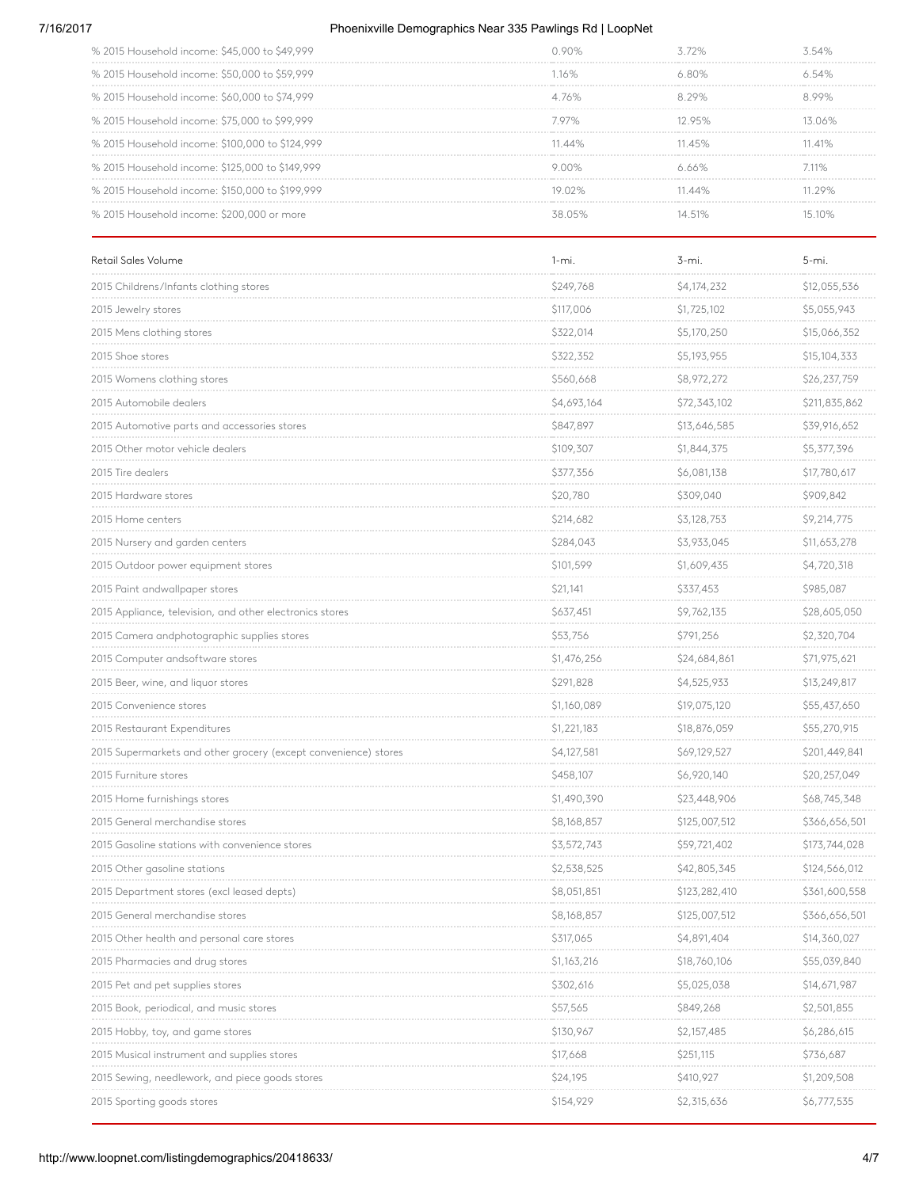#### 7/16/2017 Phoenixville Demographics Near 335 Pawlings Rd | LoopNet

| % 2015 Household income: \$45,000 to \$49,999   |                  |        |      |
|-------------------------------------------------|------------------|--------|------|
| % 2015 Household income: \$50,000 to \$59,999   | 16%              |        |      |
| % 2015 Household income: \$60,000 to \$74,999   | 76%              |        |      |
| % 2015 Household income: \$75,000 to \$99,999   | 7 97%.           | 1295%  |      |
| % 2015 Household income: \$100,000 to \$124,999 | $\Delta\Delta\%$ |        | 141% |
| % 2015 Household income: \$125,000 to \$149,999 |                  |        | 11%  |
| % 2015 Household income: \$150,000 to \$199,999 | 19 በ2% ነ         | 11 44% | 129% |
| % 2015 Household income: \$200,000 or more      |                  |        |      |

| Retail Sales Volume                                             | $1 - mi.$   | 3-mi.         | $5 - mi.$     |
|-----------------------------------------------------------------|-------------|---------------|---------------|
| 2015 Childrens/Infants clothing stores                          | \$249,768   | \$4,174,232   | \$12,055,536  |
| 2015 Jewelry stores                                             | \$117,006   | \$1,725,102   | \$5,055,943   |
| 2015 Mens clothing stores                                       | \$322,014   | \$5,170,250   | \$15,066,352  |
| 2015 Shoe stores                                                | \$322,352   | \$5,193,955   | \$15,104,333  |
| 2015 Womens clothing stores                                     | \$560,668   | \$8,972,272   | \$26,237,759  |
| 2015 Automobile dealers                                         | \$4,693,164 | \$72,343,102  | \$211,835,862 |
| 2015 Automotive parts and accessories stores                    | \$847,897   | \$13,646,585  | \$39,916,652  |
| 2015 Other motor vehicle dealers                                | \$109,307   | \$1,844,375   | \$5,377,396   |
| 2015 Tire dealers                                               | \$377,356   | \$6,081,138   | \$17,780,617  |
| 2015 Hardware stores                                            | \$20,780    | \$309,040     | \$909,842     |
| 2015 Home centers                                               | \$214,682   | \$3,128,753   | \$9,214,775   |
| 2015 Nursery and garden centers                                 | \$284,043   | \$3,933,045   | \$11,653,278  |
| 2015 Outdoor power equipment stores                             | \$101,599   | \$1,609,435   | \$4,720,318   |
| 2015 Paint andwallpaper stores                                  | \$21,141    | \$337,453     | \$985,087     |
| 2015 Appliance, television, and other electronics stores        | \$637,451   | \$9,762,135   | \$28,605,050  |
| 2015 Camera andphotographic supplies stores                     | \$53,756    | \$791,256     | \$2,320,704   |
| 2015 Computer andsoftware stores                                | \$1,476,256 | \$24,684,861  | \$71,975,621  |
| 2015 Beer, wine, and liquor stores                              | \$291,828   | \$4,525,933   | \$13,249,817  |
| 2015 Convenience stores                                         | \$1,160,089 | \$19,075,120  | \$55,437,650  |
| 2015 Restaurant Expenditures                                    | \$1,221,183 | \$18,876,059  | \$55,270,915  |
| 2015 Supermarkets and other grocery (except convenience) stores | \$4,127,581 | \$69,129,527  | \$201,449,841 |
| 2015 Furniture stores                                           | \$458,107   | \$6,920,140   | \$20,257,049  |
| 2015 Home furnishings stores                                    | \$1,490,390 | \$23,448,906  | \$68,745,348  |
| 2015 General merchandise stores                                 | \$8,168,857 | \$125,007,512 | \$366,656,501 |
| 2015 Gasoline stations with convenience stores                  | \$3,572,743 | \$59,721,402  | \$173,744,028 |
| 2015 Other gasoline stations                                    | \$2,538,525 | \$42,805,345  | \$124,566,012 |
| 2015 Department stores (excl leased depts)                      | \$8,051,851 | \$123,282,410 | \$361,600,558 |
| 2015 General merchandise stores                                 | \$8,168,857 | \$125,007,512 | \$366,656,501 |
| 2015 Other health and personal care stores                      | \$317,065   | \$4,891,404   | \$14,360,027  |
| 2015 Pharmacies and drug stores                                 | \$1,163,216 | \$18,760,106  | \$55,039,840  |
| 2015 Pet and pet supplies stores                                | \$302,616   | \$5,025,038   | \$14,671,987  |
| 2015 Book, periodical, and music stores                         | \$57,565    | \$849,268     | \$2,501,855   |
| 2015 Hobby, toy, and game stores                                | \$130,967   | \$2,157,485   | \$6,286,615   |
| 2015 Musical instrument and supplies stores                     | \$17,668    | \$251,115     | \$736,687     |
| 2015 Sewing, needlework, and piece goods stores                 | \$24,195    | \$410,927     | \$1,209,508   |
| 2015 Sporting goods stores                                      | \$154,929   | \$2,315,636   | \$6,777,535   |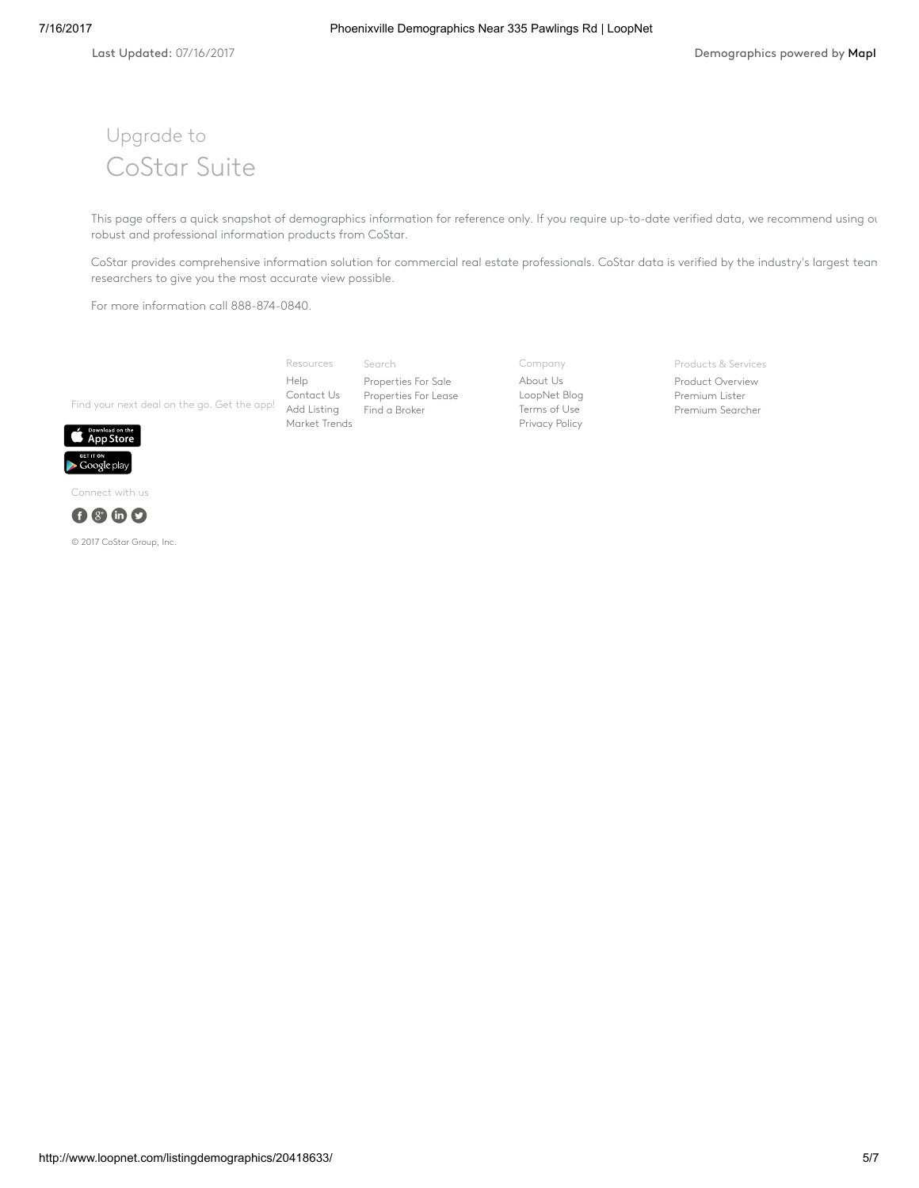# Upgrade to CoStar Suite

This page offers a quick snapshot of demographics information for reference only. If you require up-to-date verified data, we recommend using our robust and professional information products from CoStar.

CoStar provides comprehensive information solution for commercial real estate professionals. CoStar data is verified by the industry's largest tean researchers to give you the most accurate view possible.

For more information call 888-874-0840.

Find your next deal on the go. Get the app! Add [Listing](http://www.loopnet.com/xNet/MainSite/Listing/Manage/?LinkCode=31855) Search [Properties](http://www.loopnet.com/listingdemographics/20418633/) For Sale [Properties](http://www.loopnet.com/listingdemographics/20418633/) For Lease Find a [Broker](http://www.loopnet.com/xNet/MainSite/User/Directory/Search/SearchCriteria.aspx?LinkCode=31843) Resources [Help](http://www.loopnet.com/xNet/MainSite/Marketing/About/Help.aspx?LinkCode=31853) [Contact](http://www.loopnet.com/xNet/MainSite/Marketing/Contact/?LinkCode=31854) Us [Market](http://www.loopnet.com/markettrends/) Trends

Company [About](http://www.loopnet.com/About-Us/?LinkCode=31858) Us [LoopNet](http://blog.loopnet.com/?LinkCode=31861) Blog [Terms](http://www.loopnet.com/xNet/MainSite/Marketing/About/TermsAndConditions.aspx?LinkCode=31859) of Use [Privacy](http://www.loopnet.com/xNet/MainSite/Marketing/About/Privacy.aspx?LinkCode=31860) Policy

Products & Services

Product [Overview](http://www.loopnet.com/products/?LinkCode=31844) [Premium](http://www.loopnet.com/products/PremiumMembership/?LinkCode=31845) Lister [Premium](http://www.loopnet.com/xNet/MainSite/Marketing/Products/SearcherPro/?LinkCode=31846) Searcher







© 2017 CoStar Group, Inc.